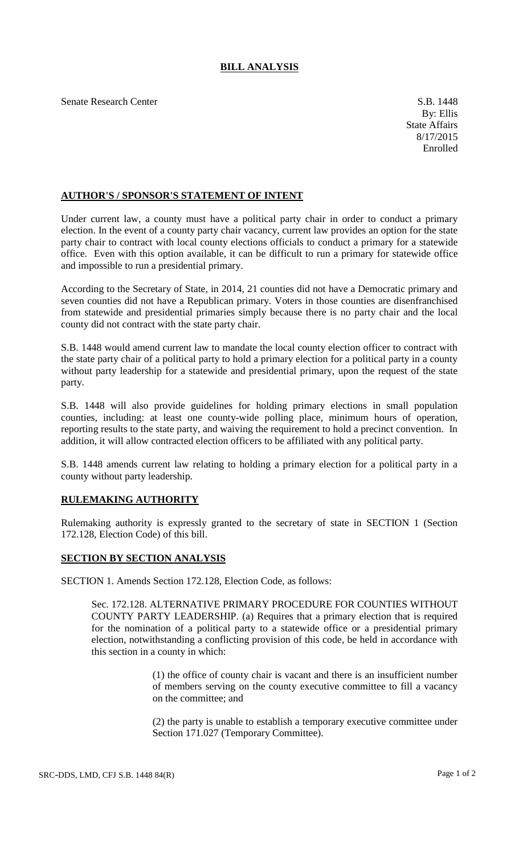## **BILL ANALYSIS**

Senate Research Center S.B. 1448

## **AUTHOR'S / SPONSOR'S STATEMENT OF INTENT**

Under current law, a county must have a political party chair in order to conduct a primary election. In the event of a county party chair vacancy, current law provides an option for the state party chair to contract with local county elections officials to conduct a primary for a statewide office. Even with this option available, it can be difficult to run a primary for statewide office and impossible to run a presidential primary.

According to the Secretary of State, in 2014, 21 counties did not have a Democratic primary and seven counties did not have a Republican primary. Voters in those counties are disenfranchised from statewide and presidential primaries simply because there is no party chair and the local county did not contract with the state party chair.

S.B. 1448 would amend current law to mandate the local county election officer to contract with the state party chair of a political party to hold a primary election for a political party in a county without party leadership for a statewide and presidential primary, upon the request of the state party.

S.B. 1448 will also provide guidelines for holding primary elections in small population counties, including: at least one county-wide polling place, minimum hours of operation, reporting results to the state party, and waiving the requirement to hold a precinct convention. In addition, it will allow contracted election officers to be affiliated with any political party.

S.B. 1448 amends current law relating to holding a primary election for a political party in a county without party leadership.

## **RULEMAKING AUTHORITY**

Rulemaking authority is expressly granted to the secretary of state in SECTION 1 (Section 172.128, Election Code) of this bill.

## **SECTION BY SECTION ANALYSIS**

SECTION 1. Amends Section 172.128, Election Code, as follows:

Sec. 172.128. ALTERNATIVE PRIMARY PROCEDURE FOR COUNTIES WITHOUT COUNTY PARTY LEADERSHIP. (a) Requires that a primary election that is required for the nomination of a political party to a statewide office or a presidential primary election, notwithstanding a conflicting provision of this code, be held in accordance with this section in a county in which:

> (1) the office of county chair is vacant and there is an insufficient number of members serving on the county executive committee to fill a vacancy on the committee; and

> (2) the party is unable to establish a temporary executive committee under Section 171.027 (Temporary Committee).